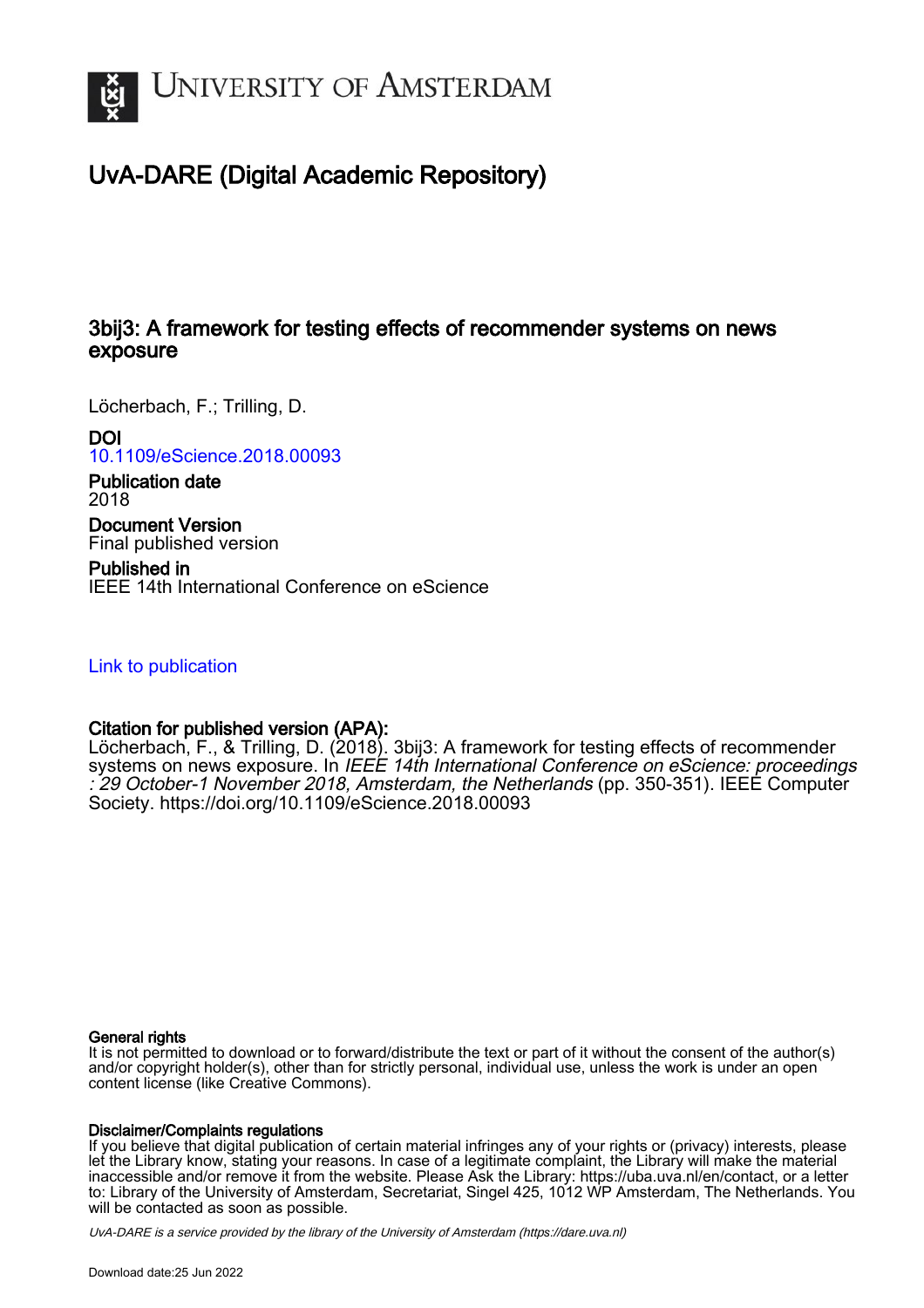

## UvA-DARE (Digital Academic Repository)

## 3bij3: A framework for testing effects of recommender systems on news exposure

Löcherbach, F.; Trilling, D.

DOI

[10.1109/eScience.2018.00093](https://doi.org/10.1109/eScience.2018.00093)

Publication date 2018

Document Version Final published version

Published in IEEE 14th International Conference on eScience

[Link to publication](https://dare.uva.nl/personal/pure/en/publications/3bij3-a-framework-for-testing-effects-of-recommender-systems-on-news-exposure(d8d81d96-e652-40f9-994d-3c6cc22df076).html)

### Citation for published version (APA):

Löcherbach, F., & Trilling, D. (2018). 3bij3: A framework for testing effects of recommender systems on news exposure. In IEEE 14th International Conference on eScience: proceedings : 29 October-1 November 2018, Amsterdam, the Netherlands (pp. 350-351). IEEE Computer Society. <https://doi.org/10.1109/eScience.2018.00093>

#### General rights

It is not permitted to download or to forward/distribute the text or part of it without the consent of the author(s) and/or copyright holder(s), other than for strictly personal, individual use, unless the work is under an open content license (like Creative Commons).

#### Disclaimer/Complaints regulations

If you believe that digital publication of certain material infringes any of your rights or (privacy) interests, please let the Library know, stating your reasons. In case of a legitimate complaint, the Library will make the material inaccessible and/or remove it from the website. Please Ask the Library: https://uba.uva.nl/en/contact, or a letter to: Library of the University of Amsterdam, Secretariat, Singel 425, 1012 WP Amsterdam, The Netherlands. You will be contacted as soon as possible.

UvA-DARE is a service provided by the library of the University of Amsterdam (http*s*://dare.uva.nl)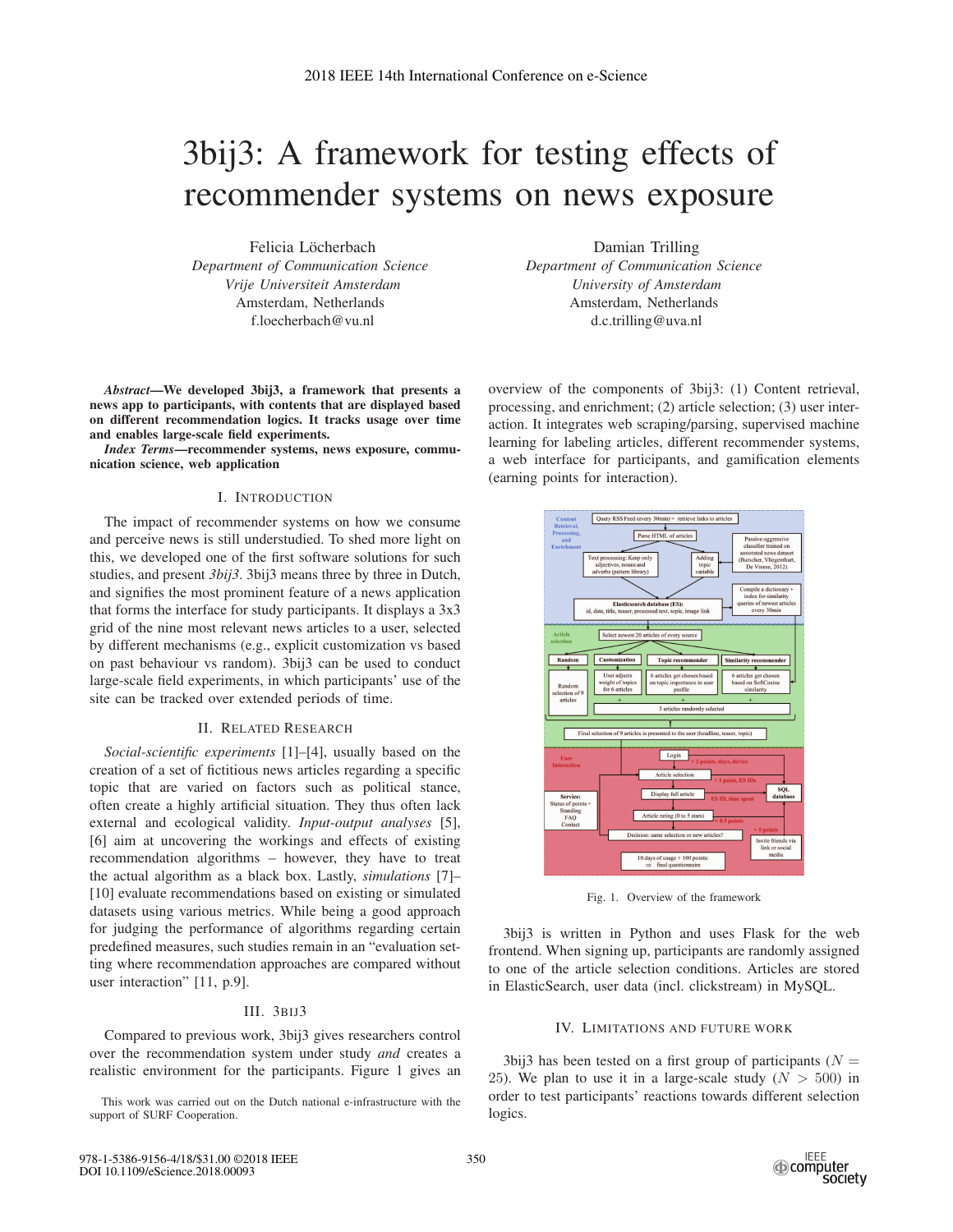# 3bij3: A framework for testing effects of recommender systems on news exposure

Felicia Löcherbach *Department of Communication Science Vrije Universiteit Amsterdam* Amsterdam, Netherlands f.loecherbach@vu.nl

*Abstract*—We developed 3bij3, a framework that presents a news app to participants, with contents that are displayed based on different recommendation logics. It tracks usage over time and enables large-scale field experiments.

*Index Terms*—recommender systems, news exposure, communication science, web application

#### I. INTRODUCTION

The impact of recommender systems on how we consume and perceive news is still understudied. To shed more light on this, we developed one of the first software solutions for such studies, and present *3bij3*. 3bij3 means three by three in Dutch, and signifies the most prominent feature of a news application that forms the interface for study participants. It displays a 3x3 grid of the nine most relevant news articles to a user, selected by different mechanisms (e.g., explicit customization vs based on past behaviour vs random). 3bij3 can be used to conduct large-scale field experiments, in which participants' use of the site can be tracked over extended periods of time.

#### II. RELATED RESEARCH

*Social-scientific experiments* [1]–[4], usually based on the creation of a set of fictitious news articles regarding a specific topic that are varied on factors such as political stance, often create a highly artificial situation. They thus often lack external and ecological validity. *Input-output analyses* [5], [6] aim at uncovering the workings and effects of existing recommendation algorithms – however, they have to treat the actual algorithm as a black box. Lastly, *simulations* [7]– [10] evaluate recommendations based on existing or simulated datasets using various metrics. While being a good approach for judging the performance of algorithms regarding certain predefined measures, such studies remain in an "evaluation setting where recommendation approaches are compared without user interaction" [11, p.9].

#### III. 3BIJ3

Compared to previous work, 3bij3 gives researchers control over the recommendation system under study *and* creates a realistic environment for the participants. Figure 1 gives an

This work was carried out on the Dutch national e-infrastructure with the support of SURF Cooperation.

Damian Trilling *Department of Communication Science University of Amsterdam* Amsterdam, Netherlands d.c.trilling@uva.nl

overview of the components of 3bij3: (1) Content retrieval, processing, and enrichment; (2) article selection; (3) user interaction. It integrates web scraping/parsing, supervised machine learning for labeling articles, different recommender systems, a web interface for participants, and gamification elements (earning points for interaction).



Fig. 1. Overview of the framework

3bij3 is written in Python and uses Flask for the web frontend. When signing up, participants are randomly assigned to one of the article selection conditions. Articles are stored in ElasticSearch, user data (incl. clickstream) in MySQL.

#### IV. LIMITATIONS AND FUTURE WORK

3bij3 has been tested on a first group of participants ( $N =$ 25). We plan to use it in a large-scale study  $(N > 500)$  in order to test participants' reactions towards different selection logics.